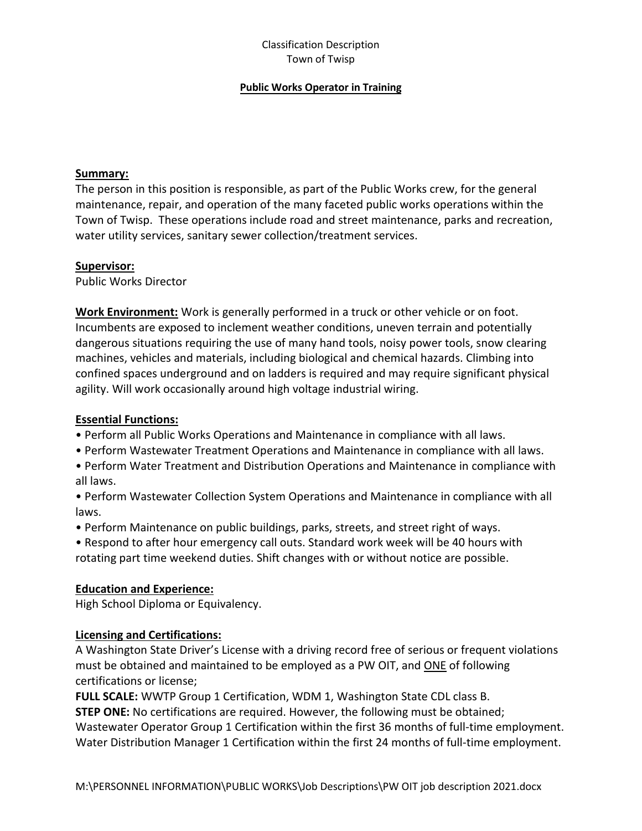## Classification Description Town of Twisp

### **Public Works Operator in Training**

### **Summary:**

The person in this position is responsible, as part of the Public Works crew, for the general maintenance, repair, and operation of the many faceted public works operations within the Town of Twisp. These operations include road and street maintenance, parks and recreation, water utility services, sanitary sewer collection/treatment services.

### **Supervisor:**

Public Works Director

**Work Environment:** Work is generally performed in a truck or other vehicle or on foot. Incumbents are exposed to inclement weather conditions, uneven terrain and potentially dangerous situations requiring the use of many hand tools, noisy power tools, snow clearing machines, vehicles and materials, including biological and chemical hazards. Climbing into confined spaces underground and on ladders is required and may require significant physical agility. Will work occasionally around high voltage industrial wiring.

# **Essential Functions:**

- Perform all Public Works Operations and Maintenance in compliance with all laws.
- Perform Wastewater Treatment Operations and Maintenance in compliance with all laws.
- Perform Water Treatment and Distribution Operations and Maintenance in compliance with all laws.
- Perform Wastewater Collection System Operations and Maintenance in compliance with all laws.
- Perform Maintenance on public buildings, parks, streets, and street right of ways.

• Respond to after hour emergency call outs. Standard work week will be 40 hours with rotating part time weekend duties. Shift changes with or without notice are possible.

# **Education and Experience:**

High School Diploma or Equivalency.

# **Licensing and Certifications:**

A Washington State Driver's License with a driving record free of serious or frequent violations must be obtained and maintained to be employed as a PW OIT, and ONE of following certifications or license;

**FULL SCALE:** WWTP Group 1 Certification, WDM 1, Washington State CDL class B.

**STEP ONE:** No certifications are required. However, the following must be obtained; Wastewater Operator Group 1 Certification within the first 36 months of full-time employment. Water Distribution Manager 1 Certification within the first 24 months of full-time employment.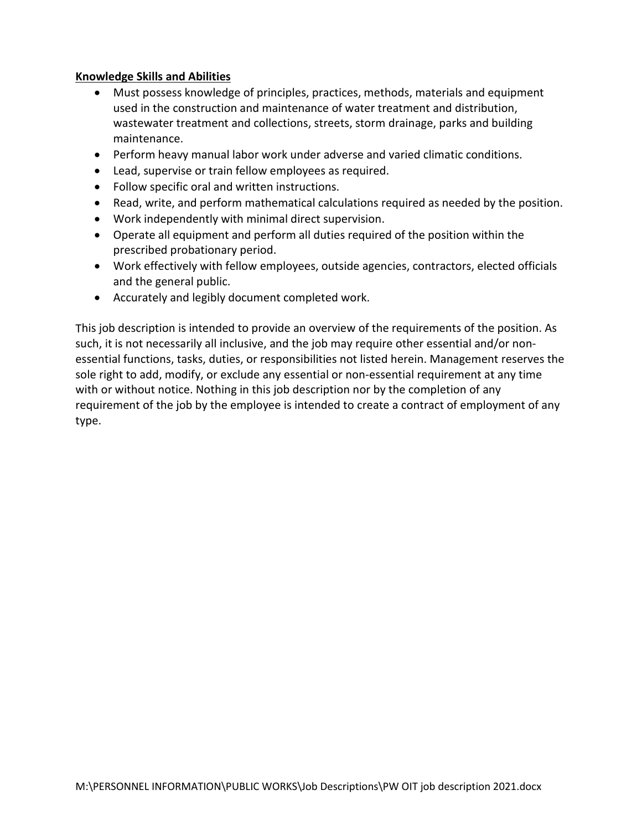# **Knowledge Skills and Abilities**

- Must possess knowledge of principles, practices, methods, materials and equipment used in the construction and maintenance of water treatment and distribution, wastewater treatment and collections, streets, storm drainage, parks and building maintenance.
- Perform heavy manual labor work under adverse and varied climatic conditions.
- Lead, supervise or train fellow employees as required.
- Follow specific oral and written instructions.
- Read, write, and perform mathematical calculations required as needed by the position.
- Work independently with minimal direct supervision.
- Operate all equipment and perform all duties required of the position within the prescribed probationary period.
- Work effectively with fellow employees, outside agencies, contractors, elected officials and the general public.
- Accurately and legibly document completed work.

This job description is intended to provide an overview of the requirements of the position. As such, it is not necessarily all inclusive, and the job may require other essential and/or nonessential functions, tasks, duties, or responsibilities not listed herein. Management reserves the sole right to add, modify, or exclude any essential or non-essential requirement at any time with or without notice. Nothing in this job description nor by the completion of any requirement of the job by the employee is intended to create a contract of employment of any type.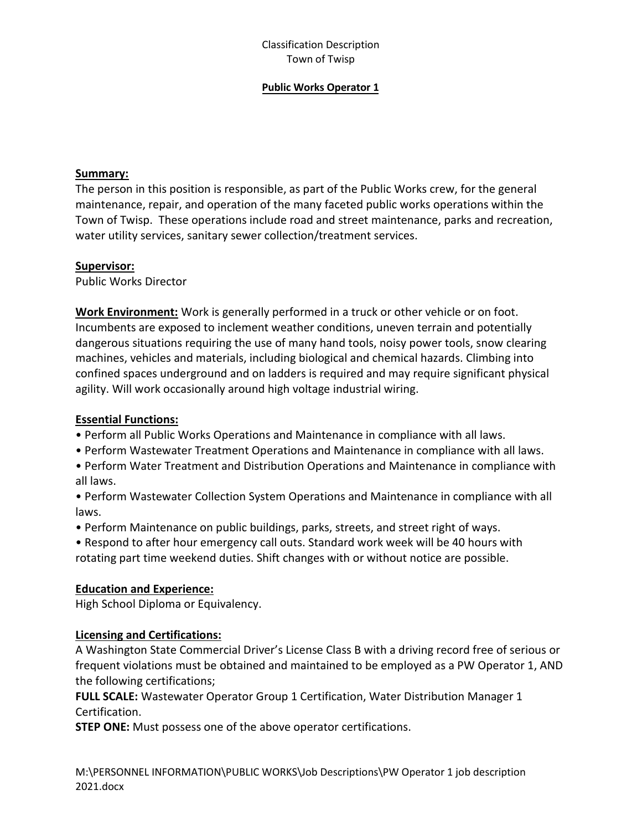## Classification Description Town of Twisp

### **Public Works Operator 1**

### **Summary:**

The person in this position is responsible, as part of the Public Works crew, for the general maintenance, repair, and operation of the many faceted public works operations within the Town of Twisp. These operations include road and street maintenance, parks and recreation, water utility services, sanitary sewer collection/treatment services.

#### **Supervisor:**

Public Works Director

**Work Environment:** Work is generally performed in a truck or other vehicle or on foot. Incumbents are exposed to inclement weather conditions, uneven terrain and potentially dangerous situations requiring the use of many hand tools, noisy power tools, snow clearing machines, vehicles and materials, including biological and chemical hazards. Climbing into confined spaces underground and on ladders is required and may require significant physical agility. Will work occasionally around high voltage industrial wiring.

# **Essential Functions:**

- Perform all Public Works Operations and Maintenance in compliance with all laws.
- Perform Wastewater Treatment Operations and Maintenance in compliance with all laws.
- Perform Water Treatment and Distribution Operations and Maintenance in compliance with all laws.
- Perform Wastewater Collection System Operations and Maintenance in compliance with all laws.
- Perform Maintenance on public buildings, parks, streets, and street right of ways.

• Respond to after hour emergency call outs. Standard work week will be 40 hours with rotating part time weekend duties. Shift changes with or without notice are possible.

# **Education and Experience:**

High School Diploma or Equivalency.

### **Licensing and Certifications:**

A Washington State Commercial Driver's License Class B with a driving record free of serious or frequent violations must be obtained and maintained to be employed as a PW Operator 1, AND the following certifications;

**FULL SCALE:** Wastewater Operator Group 1 Certification, Water Distribution Manager 1 Certification.

**STEP ONE:** Must possess one of the above operator certifications.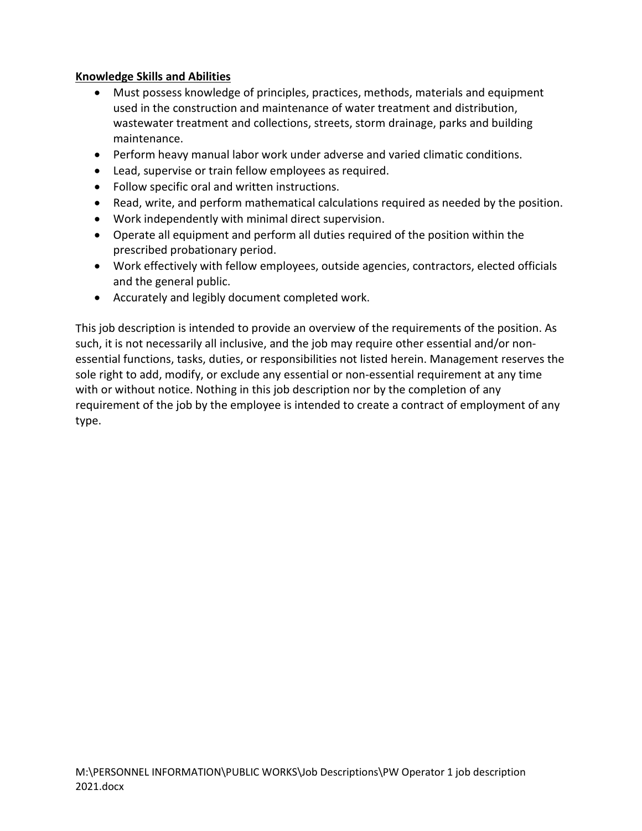# **Knowledge Skills and Abilities**

- Must possess knowledge of principles, practices, methods, materials and equipment used in the construction and maintenance of water treatment and distribution, wastewater treatment and collections, streets, storm drainage, parks and building maintenance.
- Perform heavy manual labor work under adverse and varied climatic conditions.
- Lead, supervise or train fellow employees as required.
- Follow specific oral and written instructions.
- Read, write, and perform mathematical calculations required as needed by the position.
- Work independently with minimal direct supervision.
- Operate all equipment and perform all duties required of the position within the prescribed probationary period.
- Work effectively with fellow employees, outside agencies, contractors, elected officials and the general public.
- Accurately and legibly document completed work.

This job description is intended to provide an overview of the requirements of the position. As such, it is not necessarily all inclusive, and the job may require other essential and/or nonessential functions, tasks, duties, or responsibilities not listed herein. Management reserves the sole right to add, modify, or exclude any essential or non-essential requirement at any time with or without notice. Nothing in this job description nor by the completion of any requirement of the job by the employee is intended to create a contract of employment of any type.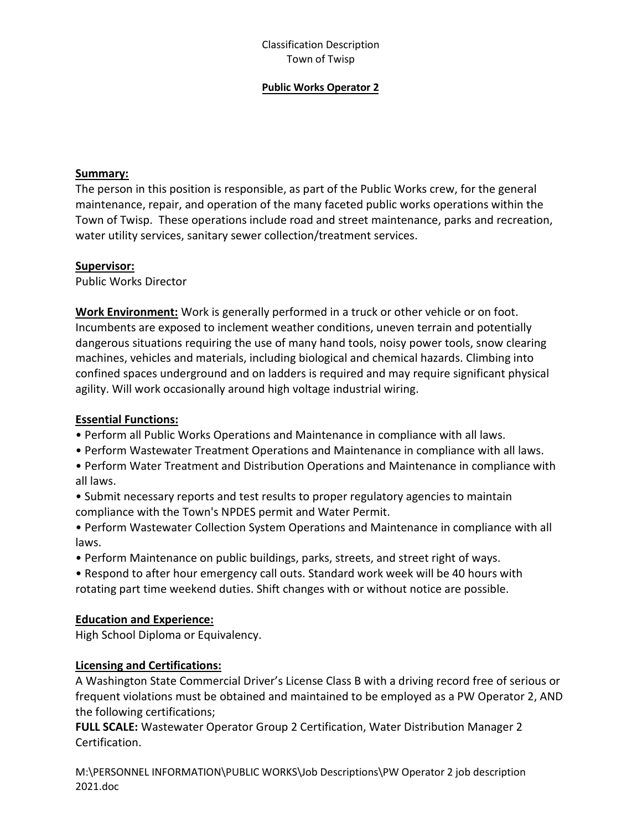## Classification Description Town of Twisp

#### **Public Works Operator 2**

#### **Summary:**

The person in this position is responsible, as part of the Public Works crew, for the general maintenance, repair, and operation of the many faceted public works operations within the Town of Twisp. These operations include road and street maintenance, parks and recreation, water utility services, sanitary sewer collection/treatment services.

#### **Supervisor:**

Public Works Director

**Work Environment:** Work is generally performed in a truck or other vehicle or on foot. Incumbents are exposed to inclement weather conditions, uneven terrain and potentially dangerous situations requiring the use of many hand tools, noisy power tools, snow clearing machines, vehicles and materials, including biological and chemical hazards. Climbing into confined spaces underground and on ladders is required and may require significant physical agility. Will work occasionally around high voltage industrial wiring.

# **Essential Functions:**

- Perform all Public Works Operations and Maintenance in compliance with all laws.
- Perform Wastewater Treatment Operations and Maintenance in compliance with all laws.
- Perform Water Treatment and Distribution Operations and Maintenance in compliance with all laws.
- Submit necessary reports and test results to proper regulatory agencies to maintain compliance with the Town's NPDES permit and Water Permit.
- Perform Wastewater Collection System Operations and Maintenance in compliance with all laws.
- Perform Maintenance on public buildings, parks, streets, and street right of ways.
- Respond to after hour emergency call outs. Standard work week will be 40 hours with rotating part time weekend duties. Shift changes with or without notice are possible.

### **Education and Experience:**

High School Diploma or Equivalency.

# **Licensing and Certifications:**

A Washington State Commercial Driver's License Class B with a driving record free of serious or frequent violations must be obtained and maintained to be employed as a PW Operator 2, AND the following certifications;

**FULL SCALE:** Wastewater Operator Group 2 Certification, Water Distribution Manager 2 Certification.

M:\PERSONNEL INFORMATION\PUBLIC WORKS\Job Descriptions\PW Operator 2 job description 2021.doc